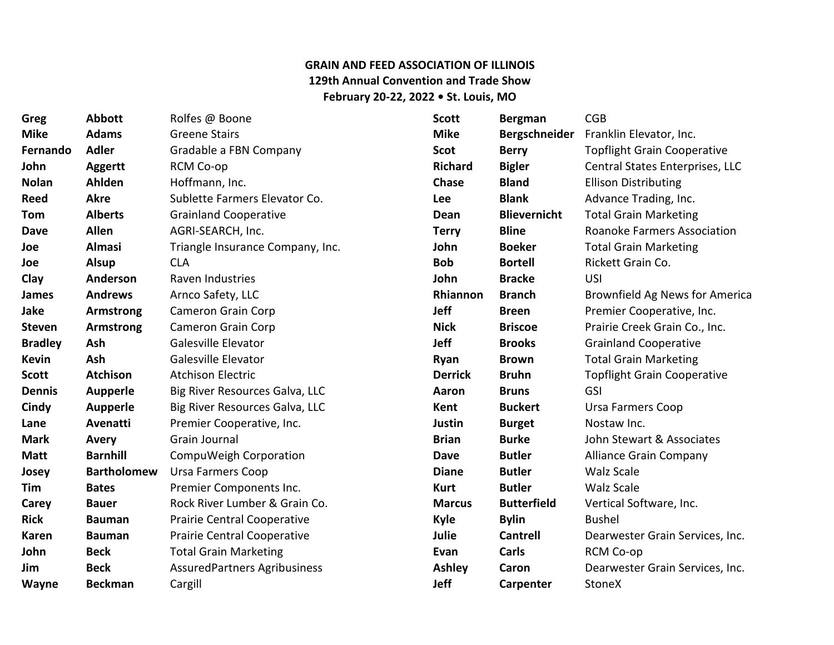## **GRAIN AND FEED ASSOCIATION OF ILLINOIS 129th Annual Convention and Trade Show February 20-22, 2022 • St. Louis, MO**

| Greg           | <b>Abbott</b>      | Rolfes @ Boone                      | <b>Scott</b>   | <b>Bergman</b>      | CGB                                |
|----------------|--------------------|-------------------------------------|----------------|---------------------|------------------------------------|
| <b>Mike</b>    | <b>Adams</b>       | <b>Greene Stairs</b>                | <b>Mike</b>    | Bergschneider       | Franklin Elevator, Inc.            |
| Fernando       | <b>Adler</b>       | Gradable a FBN Company              | <b>Scot</b>    | <b>Berry</b>        | <b>Topflight Grain Cooperative</b> |
| John           | <b>Aggertt</b>     | RCM Co-op                           | <b>Richard</b> | <b>Bigler</b>       | Central States Enterprises, LLC    |
| <b>Nolan</b>   | Ahlden             | Hoffmann, Inc.                      | <b>Chase</b>   | <b>Bland</b>        | <b>Ellison Distributing</b>        |
| <b>Reed</b>    | <b>Akre</b>        | Sublette Farmers Elevator Co.       | Lee            | <b>Blank</b>        | Advance Trading, Inc.              |
| Tom            | <b>Alberts</b>     | <b>Grainland Cooperative</b>        | Dean           | <b>Blievernicht</b> | <b>Total Grain Marketing</b>       |
| <b>Dave</b>    | <b>Allen</b>       | AGRI-SEARCH, Inc.                   | <b>Terry</b>   | <b>Bline</b>        | <b>Roanoke Farmers Association</b> |
| Joe            | <b>Almasi</b>      | Triangle Insurance Company, Inc.    | John           | <b>Boeker</b>       | <b>Total Grain Marketing</b>       |
| Joe            | <b>Alsup</b>       | <b>CLA</b>                          | <b>Bob</b>     | <b>Bortell</b>      | Rickett Grain Co.                  |
| Clay           | Anderson           | Raven Industries                    | John           | <b>Bracke</b>       | USI                                |
| James          | <b>Andrews</b>     | Arnco Safety, LLC                   | Rhiannon       | <b>Branch</b>       | Brownfield Ag News for America     |
| Jake           | Armstrong          | <b>Cameron Grain Corp</b>           | <b>Jeff</b>    | <b>Breen</b>        | Premier Cooperative, Inc.          |
| <b>Steven</b>  | <b>Armstrong</b>   | <b>Cameron Grain Corp</b>           | <b>Nick</b>    | <b>Briscoe</b>      | Prairie Creek Grain Co., Inc.      |
| <b>Bradley</b> | Ash                | Galesville Elevator                 | Jeff           | <b>Brooks</b>       | <b>Grainland Cooperative</b>       |
| <b>Kevin</b>   | <b>Ash</b>         | Galesville Elevator                 | Ryan           | <b>Brown</b>        | <b>Total Grain Marketing</b>       |
| <b>Scott</b>   | <b>Atchison</b>    | <b>Atchison Electric</b>            | <b>Derrick</b> | <b>Bruhn</b>        | <b>Topflight Grain Cooperative</b> |
| <b>Dennis</b>  | <b>Aupperle</b>    | Big River Resources Galva, LLC      | Aaron          | <b>Bruns</b>        | GSI                                |
| Cindy          | <b>Aupperle</b>    | Big River Resources Galva, LLC      | Kent           | <b>Buckert</b>      | <b>Ursa Farmers Coop</b>           |
| Lane           | Avenatti           | Premier Cooperative, Inc.           | <b>Justin</b>  | <b>Burget</b>       | Nostaw Inc.                        |
| <b>Mark</b>    | Avery              | Grain Journal                       | <b>Brian</b>   | <b>Burke</b>        | John Stewart & Associates          |
| <b>Matt</b>    | <b>Barnhill</b>    | CompuWeigh Corporation              | <b>Dave</b>    | <b>Butler</b>       | <b>Alliance Grain Company</b>      |
| Josey          | <b>Bartholomew</b> | Ursa Farmers Coop                   | <b>Diane</b>   | <b>Butler</b>       | <b>Walz Scale</b>                  |
| Tim            | <b>Bates</b>       | Premier Components Inc.             | <b>Kurt</b>    | <b>Butler</b>       | <b>Walz Scale</b>                  |
| Carey          | <b>Bauer</b>       | Rock River Lumber & Grain Co.       | <b>Marcus</b>  | <b>Butterfield</b>  | Vertical Software, Inc.            |
| <b>Rick</b>    | <b>Bauman</b>      | Prairie Central Cooperative         | <b>Kyle</b>    | <b>Bylin</b>        | <b>Bushel</b>                      |
| <b>Karen</b>   | <b>Bauman</b>      | <b>Prairie Central Cooperative</b>  | Julie          | <b>Cantrell</b>     | Dearwester Grain Services, Inc.    |
| John           | <b>Beck</b>        | <b>Total Grain Marketing</b>        | Evan           | Carls               | RCM Co-op                          |
| Jim            | <b>Beck</b>        | <b>AssuredPartners Agribusiness</b> | <b>Ashley</b>  | Caron               | Dearwester Grain Services, Inc.    |
| Wayne          | <b>Beckman</b>     | Cargill                             | <b>Jeff</b>    | Carpenter           | <b>StoneX</b>                      |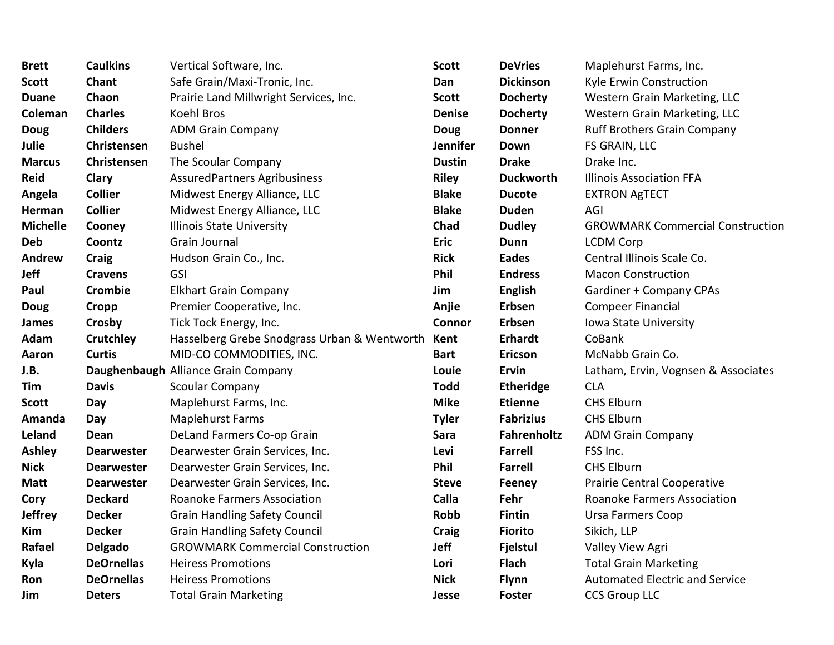| <b>Brett</b>    | <b>Caulkins</b>   | Vertical Software, Inc.                      | <b>Scott</b>    | <b>DeVries</b>   | Maplehurst Farms, Inc.                  |
|-----------------|-------------------|----------------------------------------------|-----------------|------------------|-----------------------------------------|
| <b>Scott</b>    | Chant             | Safe Grain/Maxi-Tronic, Inc.                 | Dan             | <b>Dickinson</b> | Kyle Erwin Construction                 |
| <b>Duane</b>    | Chaon             | Prairie Land Millwright Services, Inc.       | <b>Scott</b>    | <b>Docherty</b>  | Western Grain Marketing, LLC            |
| Coleman         | <b>Charles</b>    | Koehl Bros                                   | <b>Denise</b>   | <b>Docherty</b>  | Western Grain Marketing, LLC            |
| <b>Doug</b>     | <b>Childers</b>   | <b>ADM Grain Company</b>                     | <b>Doug</b>     | <b>Donner</b>    | <b>Ruff Brothers Grain Company</b>      |
| <b>Julie</b>    | Christensen       | <b>Bushel</b>                                | <b>Jennifer</b> | Down             | FS GRAIN, LLC                           |
| <b>Marcus</b>   | Christensen       | The Scoular Company                          | <b>Dustin</b>   | <b>Drake</b>     | Drake Inc.                              |
| <b>Reid</b>     | Clary             | AssuredPartners Agribusiness                 | <b>Riley</b>    | <b>Duckworth</b> | <b>Illinois Association FFA</b>         |
| Angela          | <b>Collier</b>    | Midwest Energy Alliance, LLC                 | <b>Blake</b>    | <b>Ducote</b>    | <b>EXTRON AgTECT</b>                    |
| Herman          | <b>Collier</b>    | Midwest Energy Alliance, LLC                 | <b>Blake</b>    | <b>Duden</b>     | AGI                                     |
| <b>Michelle</b> | Cooney            | <b>Illinois State University</b>             | Chad            | <b>Dudley</b>    | <b>GROWMARK Commercial Construction</b> |
| <b>Deb</b>      | Coontz            | Grain Journal                                | <b>Eric</b>     | Dunn             | <b>LCDM</b> Corp                        |
| <b>Andrew</b>   | <b>Craig</b>      | Hudson Grain Co., Inc.                       | <b>Rick</b>     | <b>Eades</b>     | Central Illinois Scale Co.              |
| Jeff            | <b>Cravens</b>    | GSI                                          | Phil            | <b>Endress</b>   | <b>Macon Construction</b>               |
| Paul            | Crombie           | <b>Elkhart Grain Company</b>                 | Jim             | <b>English</b>   | Gardiner + Company CPAs                 |
| Doug            | <b>Cropp</b>      | Premier Cooperative, Inc.                    | Anjie           | Erbsen           | <b>Compeer Financial</b>                |
| <b>James</b>    | Crosby            | Tick Tock Energy, Inc.                       | Connor          | Erbsen           | Iowa State University                   |
| Adam            | Crutchley         | Hasselberg Grebe Snodgrass Urban & Wentworth | Kent            | <b>Erhardt</b>   | CoBank                                  |
| Aaron           | <b>Curtis</b>     | MID-CO COMMODITIES, INC.                     | <b>Bart</b>     | <b>Ericson</b>   | McNabb Grain Co.                        |
| J.B.            |                   | Daughenbaugh Alliance Grain Company          | Louie           | Ervin            | Latham, Ervin, Vognsen & Associates     |
| Tim             | <b>Davis</b>      | Scoular Company                              | <b>Todd</b>     | <b>Etheridge</b> | <b>CLA</b>                              |
| <b>Scott</b>    | Day               | Maplehurst Farms, Inc.                       | <b>Mike</b>     | <b>Etienne</b>   | <b>CHS Elburn</b>                       |
| Amanda          | Day               | <b>Maplehurst Farms</b>                      | <b>Tyler</b>    | <b>Fabrizius</b> | <b>CHS Elburn</b>                       |
| Leland          | Dean              | DeLand Farmers Co-op Grain                   | Sara            | Fahrenholtz      | <b>ADM Grain Company</b>                |
| <b>Ashley</b>   | <b>Dearwester</b> | Dearwester Grain Services, Inc.              | Levi            | <b>Farrell</b>   | FSS Inc.                                |
| <b>Nick</b>     | <b>Dearwester</b> | Dearwester Grain Services, Inc.              | Phil            | <b>Farrell</b>   | <b>CHS Elburn</b>                       |
| <b>Matt</b>     | <b>Dearwester</b> | Dearwester Grain Services, Inc.              | <b>Steve</b>    | Feeney           | Prairie Central Cooperative             |
| Cory            | <b>Deckard</b>    | Roanoke Farmers Association                  | Calla           | Fehr             | <b>Roanoke Farmers Association</b>      |
| <b>Jeffrey</b>  | <b>Decker</b>     | <b>Grain Handling Safety Council</b>         | <b>Robb</b>     | <b>Fintin</b>    | <b>Ursa Farmers Coop</b>                |
| Kim             | <b>Decker</b>     | <b>Grain Handling Safety Council</b>         | <b>Craig</b>    | <b>Fiorito</b>   | Sikich, LLP                             |
| Rafael          | <b>Delgado</b>    | <b>GROWMARK Commercial Construction</b>      | <b>Jeff</b>     | <b>Fjelstul</b>  | Valley View Agri                        |
| Kyla            | <b>DeOrnellas</b> | <b>Heiress Promotions</b>                    | Lori            | <b>Flach</b>     | <b>Total Grain Marketing</b>            |
| Ron             | <b>DeOrnellas</b> | <b>Heiress Promotions</b>                    | <b>Nick</b>     | <b>Flynn</b>     | <b>Automated Electric and Service</b>   |
| Jim             | <b>Deters</b>     | <b>Total Grain Marketing</b>                 | Jesse           | <b>Foster</b>    | <b>CCS Group LLC</b>                    |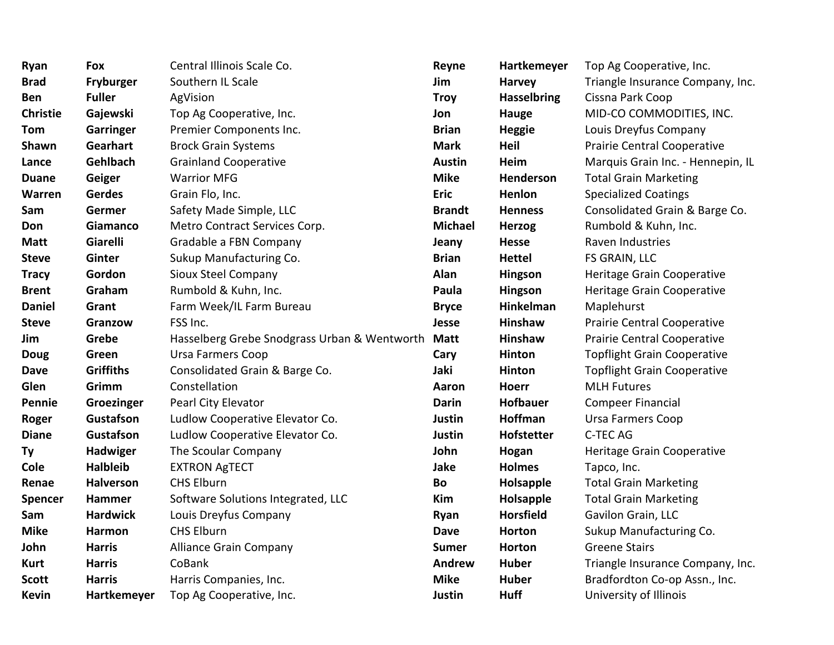| Ryan            | Fox              | Central Illinois Scale Co.                   | Reyne          | Hartkemeyer        | Top Ag Cooperative, Inc.           |
|-----------------|------------------|----------------------------------------------|----------------|--------------------|------------------------------------|
| <b>Brad</b>     | Fryburger        | Southern IL Scale                            | Jim            | <b>Harvey</b>      | Triangle Insurance Company, Inc.   |
| Ben             | <b>Fuller</b>    | AgVision                                     | <b>Troy</b>    | <b>Hasselbring</b> | Cissna Park Coop                   |
| <b>Christie</b> | Gajewski         | Top Ag Cooperative, Inc.                     | Jon            | <b>Hauge</b>       | MID-CO COMMODITIES, INC.           |
| <b>Tom</b>      | Garringer        | Premier Components Inc.                      | <b>Brian</b>   | <b>Heggie</b>      | Louis Dreyfus Company              |
| Shawn           | Gearhart         | <b>Brock Grain Systems</b>                   | <b>Mark</b>    | Heil               | <b>Prairie Central Cooperative</b> |
| Lance           | Gehlbach         | <b>Grainland Cooperative</b>                 | <b>Austin</b>  | <b>Heim</b>        | Marquis Grain Inc. - Hennepin, IL  |
| <b>Duane</b>    | Geiger           | <b>Warrior MFG</b>                           | <b>Mike</b>    | Henderson          | <b>Total Grain Marketing</b>       |
| <b>Warren</b>   | Gerdes           | Grain Flo, Inc.                              | <b>Eric</b>    | Henlon             | <b>Specialized Coatings</b>        |
| Sam             | Germer           | Safety Made Simple, LLC                      | <b>Brandt</b>  | <b>Henness</b>     | Consolidated Grain & Barge Co.     |
| Don             | Giamanco         | Metro Contract Services Corp.                | <b>Michael</b> | <b>Herzog</b>      | Rumbold & Kuhn, Inc.               |
| <b>Matt</b>     | Giarelli         | Gradable a FBN Company                       | Jeany          | <b>Hesse</b>       | Raven Industries                   |
| <b>Steve</b>    | Ginter           | Sukup Manufacturing Co.                      | <b>Brian</b>   | <b>Hettel</b>      | FS GRAIN, LLC                      |
| <b>Tracy</b>    | Gordon           | Sioux Steel Company                          | Alan           | Hingson            | Heritage Grain Cooperative         |
| <b>Brent</b>    | Graham           | Rumbold & Kuhn, Inc.                         | Paula          | Hingson            | Heritage Grain Cooperative         |
| <b>Daniel</b>   | Grant            | Farm Week/IL Farm Bureau                     | <b>Bryce</b>   | Hinkelman          | Maplehurst                         |
| <b>Steve</b>    | Granzow          | FSS Inc.                                     | Jesse          | Hinshaw            | Prairie Central Cooperative        |
| Jim             | Grebe            | Hasselberg Grebe Snodgrass Urban & Wentworth | <b>Matt</b>    | Hinshaw            | Prairie Central Cooperative        |
| <b>Doug</b>     | Green            | <b>Ursa Farmers Coop</b>                     | Cary           | Hinton             | <b>Topflight Grain Cooperative</b> |
| <b>Dave</b>     | <b>Griffiths</b> | Consolidated Grain & Barge Co.               | Jaki           | <b>Hinton</b>      | <b>Topflight Grain Cooperative</b> |
| Glen            | Grimm            | Constellation                                | Aaron          | <b>Hoerr</b>       | <b>MLH Futures</b>                 |
| Pennie          | Groezinger       | Pearl City Elevator                          | <b>Darin</b>   | <b>Hofbauer</b>    | <b>Compeer Financial</b>           |
| Roger           | Gustafson        | Ludlow Cooperative Elevator Co.              | Justin         | <b>Hoffman</b>     | <b>Ursa Farmers Coop</b>           |
| <b>Diane</b>    | Gustafson        | Ludlow Cooperative Elevator Co.              | Justin         | <b>Hofstetter</b>  | C-TEC AG                           |
| Ty              | Hadwiger         | The Scoular Company                          | John           | Hogan              | Heritage Grain Cooperative         |
| Cole            | <b>Halbleib</b>  | <b>EXTRON AgTECT</b>                         | Jake           | <b>Holmes</b>      | Tapco, Inc.                        |
| Renae           | <b>Halverson</b> | <b>CHS Elburn</b>                            | Bo             | Holsapple          | <b>Total Grain Marketing</b>       |
| <b>Spencer</b>  | Hammer           | Software Solutions Integrated, LLC           | Kim            | Holsapple          | <b>Total Grain Marketing</b>       |
| Sam             | <b>Hardwick</b>  | Louis Dreyfus Company                        | Ryan           | <b>Horsfield</b>   | Gavilon Grain, LLC                 |
| <b>Mike</b>     | Harmon           | <b>CHS Elburn</b>                            | <b>Dave</b>    | <b>Horton</b>      | Sukup Manufacturing Co.            |
| John            | <b>Harris</b>    | <b>Alliance Grain Company</b>                | <b>Sumer</b>   | Horton             | <b>Greene Stairs</b>               |
| <b>Kurt</b>     | <b>Harris</b>    | CoBank                                       | Andrew         | <b>Huber</b>       | Triangle Insurance Company, Inc.   |
| <b>Scott</b>    | <b>Harris</b>    | Harris Companies, Inc.                       | <b>Mike</b>    | <b>Huber</b>       | Bradfordton Co-op Assn., Inc.      |
| <b>Kevin</b>    | Hartkemeyer      | Top Ag Cooperative, Inc.                     | Justin         | <b>Huff</b>        | University of Illinois             |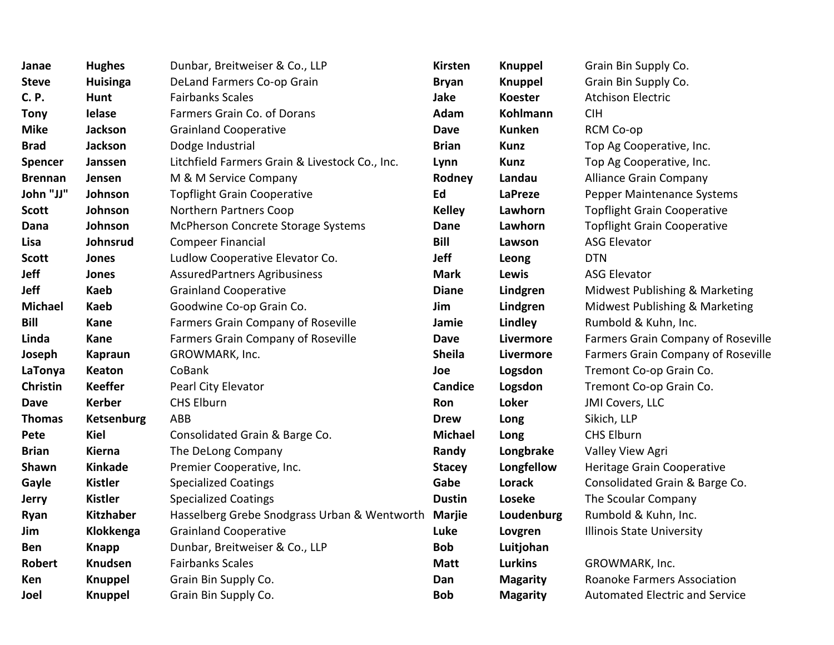| Janae           | <b>Hughes</b>     | Dunbar, Breitweiser & Co., LLP                      | Kirsten        | <b>Knuppel</b>  | Grain Bin Supply Co.                      |
|-----------------|-------------------|-----------------------------------------------------|----------------|-----------------|-------------------------------------------|
| <b>Steve</b>    | <b>Huisinga</b>   | DeLand Farmers Co-op Grain                          | <b>Bryan</b>   | <b>Knuppel</b>  | Grain Bin Supply Co.                      |
| <b>C.P.</b>     | <b>Hunt</b>       | <b>Fairbanks Scales</b>                             | Jake           | <b>Koester</b>  | <b>Atchison Electric</b>                  |
| <b>Tony</b>     | <b>Ielase</b>     | Farmers Grain Co. of Dorans                         | Adam           | Kohlmann        | CIH                                       |
| <b>Mike</b>     | <b>Jackson</b>    | <b>Grainland Cooperative</b>                        | <b>Dave</b>    | <b>Kunken</b>   | RCM Co-op                                 |
| <b>Brad</b>     | <b>Jackson</b>    | Dodge Industrial                                    | <b>Brian</b>   | <b>Kunz</b>     | Top Ag Cooperative, Inc.                  |
| <b>Spencer</b>  | Janssen           | Litchfield Farmers Grain & Livestock Co., Inc.      | Lynn           | Kunz            | Top Ag Cooperative, Inc.                  |
| <b>Brennan</b>  | Jensen            | M & M Service Company                               | Rodney         | Landau          | <b>Alliance Grain Company</b>             |
| John "JJ"       | Johnson           | <b>Topflight Grain Cooperative</b>                  | Ed             | <b>LaPreze</b>  | Pepper Maintenance Systems                |
| <b>Scott</b>    | Johnson           | Northern Partners Coop                              | <b>Kelley</b>  | Lawhorn         | <b>Topflight Grain Cooperative</b>        |
| Dana            | Johnson           | McPherson Concrete Storage Systems                  | Dane           | Lawhorn         | <b>Topflight Grain Cooperative</b>        |
| Lisa            | Johnsrud          | <b>Compeer Financial</b>                            | Bill           | Lawson          | <b>ASG Elevator</b>                       |
| <b>Scott</b>    | Jones             | Ludlow Cooperative Elevator Co.                     | <b>Jeff</b>    | Leong           | <b>DTN</b>                                |
| <b>Jeff</b>     | Jones             | <b>AssuredPartners Agribusiness</b>                 | <b>Mark</b>    | Lewis           | <b>ASG Elevator</b>                       |
| <b>Jeff</b>     | <b>Kaeb</b>       | <b>Grainland Cooperative</b>                        | <b>Diane</b>   | Lindgren        | Midwest Publishing & Marketing            |
| <b>Michael</b>  | <b>Kaeb</b>       | Goodwine Co-op Grain Co.                            | Jim            | Lindgren        | Midwest Publishing & Marketing            |
| Bill            | Kane              | Farmers Grain Company of Roseville                  | Jamie          | Lindley         | Rumbold & Kuhn, Inc.                      |
| Linda           | Kane              | Farmers Grain Company of Roseville                  | <b>Dave</b>    | Livermore       | <b>Farmers Grain Company of Roseville</b> |
| Joseph          | <b>Kapraun</b>    | GROWMARK, Inc.                                      | <b>Sheila</b>  | Livermore       | Farmers Grain Company of Roseville        |
| LaTonya         | <b>Keaton</b>     | CoBank                                              | Joe            | Logsdon         | Tremont Co-op Grain Co.                   |
| <b>Christin</b> | <b>Keeffer</b>    | Pearl City Elevator                                 | <b>Candice</b> | Logsdon         | Tremont Co-op Grain Co.                   |
| <b>Dave</b>     | <b>Kerber</b>     | <b>CHS Elburn</b>                                   | Ron            | <b>Loker</b>    | JMI Covers, LLC                           |
| <b>Thomas</b>   | <b>Ketsenburg</b> | ABB                                                 | <b>Drew</b>    | Long            | Sikich, LLP                               |
| Pete            | <b>Kiel</b>       | Consolidated Grain & Barge Co.                      | <b>Michael</b> | Long            | <b>CHS Elburn</b>                         |
| <b>Brian</b>    | Kierna            | The DeLong Company                                  | Randy          | Longbrake       | Valley View Agri                          |
| Shawn           | <b>Kinkade</b>    | Premier Cooperative, Inc.                           | <b>Stacey</b>  | Longfellow      | Heritage Grain Cooperative                |
| Gayle           | <b>Kistler</b>    | <b>Specialized Coatings</b>                         | Gabe           | Lorack          | Consolidated Grain & Barge Co.            |
| <b>Jerry</b>    | <b>Kistler</b>    | <b>Specialized Coatings</b>                         | <b>Dustin</b>  | Loseke          | The Scoular Company                       |
| Ryan            | Kitzhaber         | Hasselberg Grebe Snodgrass Urban & Wentworth Marjie |                | Loudenburg      | Rumbold & Kuhn, Inc.                      |
| Jim             | Klokkenga         | <b>Grainland Cooperative</b>                        | Luke           | Lovgren         | <b>Illinois State University</b>          |
| <b>Ben</b>      | <b>Knapp</b>      | Dunbar, Breitweiser & Co., LLP                      | <b>Bob</b>     | Luitjohan       |                                           |
| <b>Robert</b>   | <b>Knudsen</b>    | <b>Fairbanks Scales</b>                             | <b>Matt</b>    | <b>Lurkins</b>  | GROWMARK, Inc.                            |
| Ken             | <b>Knuppel</b>    | Grain Bin Supply Co.                                | Dan            | <b>Magarity</b> | <b>Roanoke Farmers Association</b>        |
| Joel            | Knuppel           | Grain Bin Supply Co.                                | <b>Bob</b>     | <b>Magarity</b> | <b>Automated Electric and Service</b>     |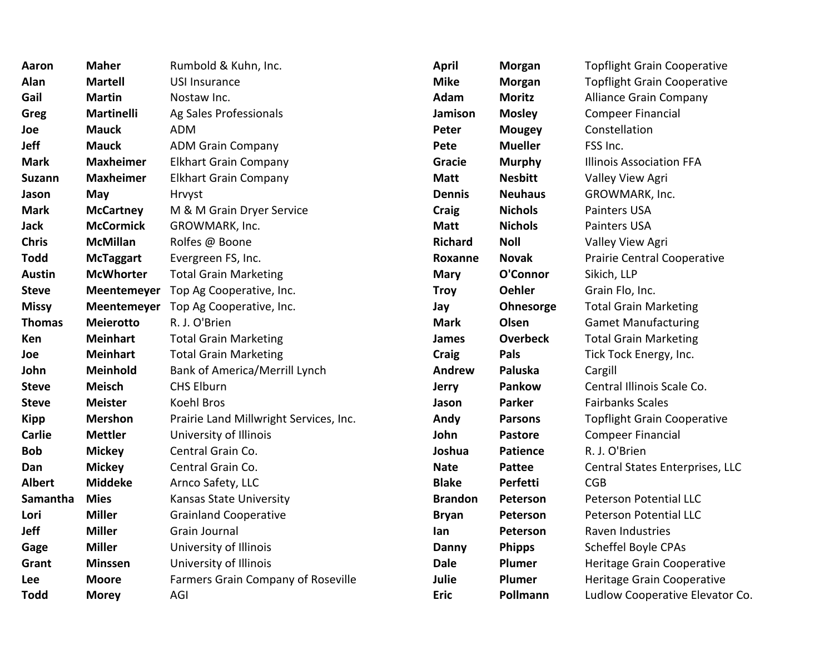| Aaron         | <b>Maher</b>      | Rumbold & Kuhn, Inc.                   | <b>April</b>   | Morgan          | <b>Topflight Grain Cooperative</b> |
|---------------|-------------------|----------------------------------------|----------------|-----------------|------------------------------------|
| Alan          | <b>Martell</b>    | <b>USI Insurance</b>                   | <b>Mike</b>    | <b>Morgan</b>   | <b>Topflight Grain Cooperative</b> |
| Gail          | <b>Martin</b>     | Nostaw Inc.                            | Adam           | <b>Moritz</b>   | <b>Alliance Grain Company</b>      |
| Greg          | <b>Martinelli</b> | Ag Sales Professionals                 | Jamison        | <b>Mosley</b>   | Compeer Financial                  |
| Joe           | <b>Mauck</b>      | <b>ADM</b>                             | Peter          | <b>Mougey</b>   | Constellation                      |
| <b>Jeff</b>   | <b>Mauck</b>      | <b>ADM Grain Company</b>               | Pete           | <b>Mueller</b>  | FSS Inc.                           |
| <b>Mark</b>   | <b>Maxheimer</b>  | <b>Elkhart Grain Company</b>           | Gracie         | <b>Murphy</b>   | <b>Illinois Association FFA</b>    |
| <b>Suzann</b> | <b>Maxheimer</b>  | <b>Elkhart Grain Company</b>           | <b>Matt</b>    | <b>Nesbitt</b>  | Valley View Agri                   |
| Jason         | May               | Hrvyst                                 | <b>Dennis</b>  | <b>Neuhaus</b>  | GROWMARK, Inc.                     |
| <b>Mark</b>   | <b>McCartney</b>  | M & M Grain Dryer Service              | <b>Craig</b>   | <b>Nichols</b>  | <b>Painters USA</b>                |
| Jack          | <b>McCormick</b>  | GROWMARK, Inc.                         | <b>Matt</b>    | <b>Nichols</b>  | Painters USA                       |
| <b>Chris</b>  | <b>McMillan</b>   | Rolfes @ Boone                         | <b>Richard</b> | <b>Noll</b>     | Valley View Agri                   |
| <b>Todd</b>   | <b>McTaggart</b>  | Evergreen FS, Inc.                     | Roxanne        | <b>Novak</b>    | Prairie Central Cooperative        |
| <b>Austin</b> | <b>McWhorter</b>  | <b>Total Grain Marketing</b>           | <b>Mary</b>    | O'Connor        | Sikich, LLP                        |
| <b>Steve</b>  |                   | Meentemeyer Top Ag Cooperative, Inc.   | <b>Troy</b>    | <b>Oehler</b>   | Grain Flo, Inc.                    |
| <b>Missy</b>  |                   | Meentemeyer Top Ag Cooperative, Inc.   | Jay            | Ohnesorge       | <b>Total Grain Marketing</b>       |
| <b>Thomas</b> | <b>Meierotto</b>  | R. J. O'Brien                          | <b>Mark</b>    | Olsen           | <b>Gamet Manufacturing</b>         |
| Ken.          | <b>Meinhart</b>   | <b>Total Grain Marketing</b>           | James          | <b>Overbeck</b> | <b>Total Grain Marketing</b>       |
| Joe           | <b>Meinhart</b>   | <b>Total Grain Marketing</b>           | Craig          | Pals            | Tick Tock Energy, Inc.             |
| John          | Meinhold          | <b>Bank of America/Merrill Lynch</b>   | <b>Andrew</b>  | Paluska         | Cargill                            |
| <b>Steve</b>  | <b>Meisch</b>     | <b>CHS Elburn</b>                      | <b>Jerry</b>   | Pankow          | Central Illinois Scale Co.         |
| <b>Steve</b>  | <b>Meister</b>    | <b>Koehl Bros</b>                      | Jason          | <b>Parker</b>   | <b>Fairbanks Scales</b>            |
| <b>Kipp</b>   | <b>Mershon</b>    | Prairie Land Millwright Services, Inc. | Andy           | <b>Parsons</b>  | <b>Topflight Grain Cooperative</b> |
| <b>Carlie</b> | <b>Mettler</b>    | University of Illinois                 | John           | <b>Pastore</b>  | <b>Compeer Financial</b>           |
| <b>Bob</b>    | <b>Mickey</b>     | Central Grain Co.                      | Joshua         | <b>Patience</b> | R. J. O'Brien                      |
| Dan           | <b>Mickey</b>     | Central Grain Co.                      | <b>Nate</b>    | <b>Pattee</b>   | Central States Enterprises, LLC    |
| <b>Albert</b> | <b>Middeke</b>    | Arnco Safety, LLC                      | <b>Blake</b>   | Perfetti        | <b>CGB</b>                         |
| Samantha      | <b>Mies</b>       | Kansas State University                | <b>Brandon</b> | Peterson        | <b>Peterson Potential LLC</b>      |
| Lori          | <b>Miller</b>     | <b>Grainland Cooperative</b>           | <b>Bryan</b>   | Peterson        | <b>Peterson Potential LLC</b>      |
| Jeff          | <b>Miller</b>     | Grain Journal                          | lan            | Peterson        | Raven Industries                   |
| Gage          | <b>Miller</b>     | University of Illinois                 | Danny          | <b>Phipps</b>   | Scheffel Boyle CPAs                |
| Grant         | <b>Minssen</b>    | University of Illinois                 | <b>Dale</b>    | Plumer          | Heritage Grain Cooperative         |
| Lee           | <b>Moore</b>      | Farmers Grain Company of Roseville     | Julie          | Plumer          | Heritage Grain Cooperative         |
| <b>Todd</b>   | <b>Morey</b>      | AGI                                    | <b>Eric</b>    | Pollmann        | Ludlow Cooperative Elevator Co.    |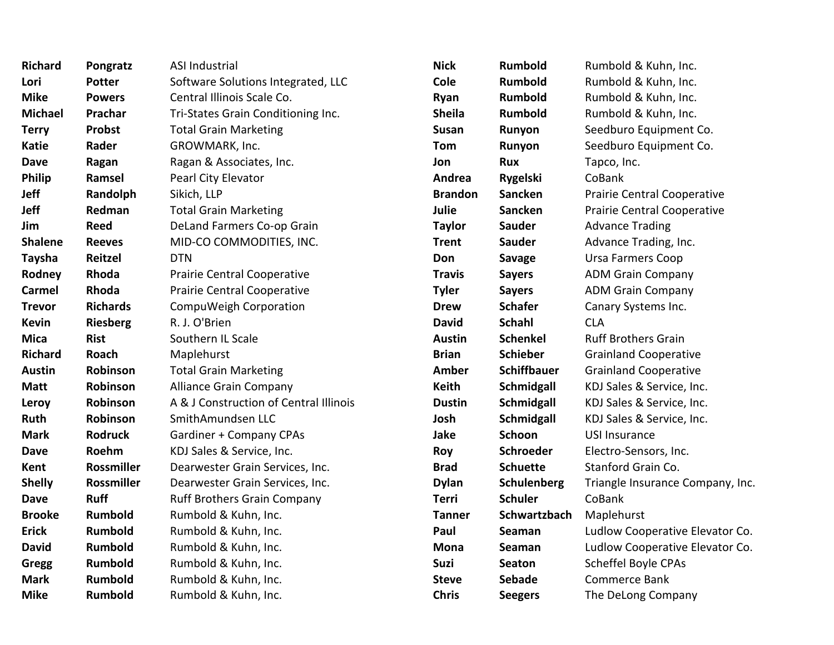| <b>Richard</b> | Pongratz          | ASI Industrial                         | <b>Nick</b>    | Rumbold            | Rumbold & Kuhn, Inc.             |
|----------------|-------------------|----------------------------------------|----------------|--------------------|----------------------------------|
| Lori           | <b>Potter</b>     | Software Solutions Integrated, LLC     | Cole           | <b>Rumbold</b>     | Rumbold & Kuhn, Inc.             |
| <b>Mike</b>    | <b>Powers</b>     | Central Illinois Scale Co.             | Ryan           | Rumbold            | Rumbold & Kuhn, Inc.             |
| <b>Michael</b> | Prachar           | Tri-States Grain Conditioning Inc.     | <b>Sheila</b>  | <b>Rumbold</b>     | Rumbold & Kuhn, Inc.             |
| <b>Terry</b>   | <b>Probst</b>     | <b>Total Grain Marketing</b>           | <b>Susan</b>   | Runyon             | Seedburo Equipment Co.           |
| <b>Katie</b>   | Rader             | GROWMARK, Inc.                         | Tom            | Runyon             | Seedburo Equipment Co.           |
| <b>Dave</b>    | Ragan             | Ragan & Associates, Inc.               | Jon            | <b>Rux</b>         | Tapco, Inc.                      |
| <b>Philip</b>  | Ramsel            | Pearl City Elevator                    | Andrea         | <b>Rygelski</b>    | CoBank                           |
| Jeff           | Randolph          | Sikich, LLP                            | <b>Brandon</b> | Sancken            | Prairie Central Cooperative      |
| Jeff           | Redman            | <b>Total Grain Marketing</b>           | <b>Julie</b>   | Sancken            | Prairie Central Cooperative      |
| Jim            | Reed              | DeLand Farmers Co-op Grain             | <b>Taylor</b>  | <b>Sauder</b>      | <b>Advance Trading</b>           |
| <b>Shalene</b> | <b>Reeves</b>     | MID-CO COMMODITIES, INC.               | <b>Trent</b>   | <b>Sauder</b>      | Advance Trading, Inc.            |
| <b>Taysha</b>  | Reitzel           | <b>DTN</b>                             | Don            | <b>Savage</b>      | <b>Ursa Farmers Coop</b>         |
| Rodney         | Rhoda             | Prairie Central Cooperative            | <b>Travis</b>  | <b>Sayers</b>      | <b>ADM Grain Company</b>         |
| Carmel         | Rhoda             | Prairie Central Cooperative            | <b>Tyler</b>   | <b>Sayers</b>      | <b>ADM Grain Company</b>         |
| <b>Trevor</b>  | <b>Richards</b>   | CompuWeigh Corporation                 | <b>Drew</b>    | <b>Schafer</b>     | Canary Systems Inc.              |
| <b>Kevin</b>   | <b>Riesberg</b>   | R. J. O'Brien                          | <b>David</b>   | <b>Schahl</b>      | <b>CLA</b>                       |
| <b>Mica</b>    | <b>Rist</b>       | Southern IL Scale                      | <b>Austin</b>  | <b>Schenkel</b>    | <b>Ruff Brothers Grain</b>       |
| <b>Richard</b> | Roach             | Maplehurst                             | <b>Brian</b>   | <b>Schieber</b>    | <b>Grainland Cooperative</b>     |
| <b>Austin</b>  | Robinson          | <b>Total Grain Marketing</b>           | <b>Amber</b>   | <b>Schiffbauer</b> | <b>Grainland Cooperative</b>     |
| <b>Matt</b>    | Robinson          | <b>Alliance Grain Company</b>          | Keith          | Schmidgall         | KDJ Sales & Service, Inc.        |
| Leroy          | Robinson          | A & J Construction of Central Illinois | <b>Dustin</b>  | Schmidgall         | KDJ Sales & Service, Inc.        |
| Ruth           | Robinson          | SmithAmundsen LLC                      | Josh           | <b>Schmidgall</b>  | KDJ Sales & Service, Inc.        |
| <b>Mark</b>    | <b>Rodruck</b>    | <b>Gardiner + Company CPAs</b>         | Jake           | Schoon             | <b>USI Insurance</b>             |
| <b>Dave</b>    | Roehm             | KDJ Sales & Service, Inc.              | Roy            | Schroeder          | Electro-Sensors, Inc.            |
| Kent           | <b>Rossmiller</b> | Dearwester Grain Services, Inc.        | <b>Brad</b>    | <b>Schuette</b>    | Stanford Grain Co.               |
| <b>Shelly</b>  | Rossmiller        | Dearwester Grain Services, Inc.        | <b>Dylan</b>   | Schulenberg        | Triangle Insurance Company, Inc. |
| <b>Dave</b>    | <b>Ruff</b>       | <b>Ruff Brothers Grain Company</b>     | <b>Terri</b>   | <b>Schuler</b>     | CoBank                           |
| <b>Brooke</b>  | Rumbold           | Rumbold & Kuhn, Inc.                   | <b>Tanner</b>  | Schwartzbach       | Maplehurst                       |
| <b>Erick</b>   | Rumbold           | Rumbold & Kuhn, Inc.                   | Paul           | Seaman             | Ludlow Cooperative Elevator Co.  |
| <b>David</b>   | <b>Rumbold</b>    | Rumbold & Kuhn, Inc.                   | <b>Mona</b>    | Seaman             | Ludlow Cooperative Elevator Co.  |
| <b>Gregg</b>   | Rumbold           | Rumbold & Kuhn, Inc.                   | Suzi           | <b>Seaton</b>      | Scheffel Boyle CPAs              |
| <b>Mark</b>    | Rumbold           | Rumbold & Kuhn, Inc.                   | <b>Steve</b>   | <b>Sebade</b>      | Commerce Bank                    |
| <b>Mike</b>    | Rumbold           | Rumbold & Kuhn, Inc.                   | <b>Chris</b>   | <b>Seegers</b>     | The DeLong Company               |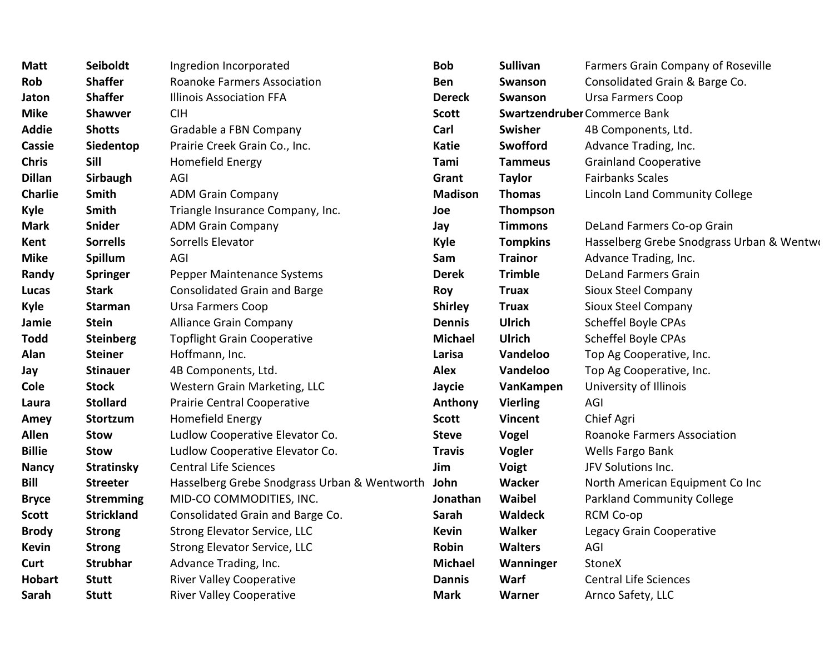| Matt           | Seiboldt          | Ingredion Incorporated                       | <b>Bob</b>     | <b>Sullivan</b> | Farmers Grain Company of Roseville        |
|----------------|-------------------|----------------------------------------------|----------------|-----------------|-------------------------------------------|
| Rob            | <b>Shaffer</b>    | <b>Roanoke Farmers Association</b>           | <b>Ben</b>     | Swanson         | Consolidated Grain & Barge Co.            |
| Jaton          | <b>Shaffer</b>    | <b>Illinois Association FFA</b>              | <b>Dereck</b>  | <b>Swanson</b>  | <b>Ursa Farmers Coop</b>                  |
| <b>Mike</b>    | <b>Shawver</b>    | <b>CIH</b>                                   | <b>Scott</b>   |                 | Swartzendruber Commerce Bank              |
| Addie          | <b>Shotts</b>     | Gradable a FBN Company                       | Carl           | <b>Swisher</b>  | 4B Components, Ltd.                       |
| <b>Cassie</b>  | Siedentop         | Prairie Creek Grain Co., Inc.                | <b>Katie</b>   | Swofford        | Advance Trading, Inc.                     |
| Chris          | Sill              | Homefield Energy                             | Tami           | <b>Tammeus</b>  | <b>Grainland Cooperative</b>              |
| <b>Dillan</b>  | Sirbaugh          | AGI                                          | Grant          | <b>Taylor</b>   | <b>Fairbanks Scales</b>                   |
| <b>Charlie</b> | Smith             | <b>ADM Grain Company</b>                     | <b>Madison</b> | <b>Thomas</b>   | <b>Lincoln Land Community College</b>     |
| Kyle           | Smith             | Triangle Insurance Company, Inc.             | Joe            | <b>Thompson</b> |                                           |
| Mark           | <b>Snider</b>     | <b>ADM Grain Company</b>                     | Jay            | <b>Timmons</b>  | DeLand Farmers Co-op Grain                |
| Kent           | <b>Sorrells</b>   | Sorrells Elevator                            | <b>Kyle</b>    | <b>Tompkins</b> | Hasselberg Grebe Snodgrass Urban & Wentwo |
| Mike           | Spillum           | AGI                                          | Sam            | <b>Trainor</b>  | Advance Trading, Inc.                     |
| Randy          | Springer          | Pepper Maintenance Systems                   | <b>Derek</b>   | <b>Trimble</b>  | <b>DeLand Farmers Grain</b>               |
| Lucas          | <b>Stark</b>      | <b>Consolidated Grain and Barge</b>          | <b>Roy</b>     | <b>Truax</b>    | Sioux Steel Company                       |
| Kyle           | <b>Starman</b>    | Ursa Farmers Coop                            | <b>Shirley</b> | <b>Truax</b>    | Sioux Steel Company                       |
| Jamie          | <b>Stein</b>      | <b>Alliance Grain Company</b>                | <b>Dennis</b>  | <b>Ulrich</b>   | Scheffel Boyle CPAs                       |
| <b>Todd</b>    | <b>Steinberg</b>  | <b>Topflight Grain Cooperative</b>           | <b>Michael</b> | <b>Ulrich</b>   | Scheffel Boyle CPAs                       |
| Alan           | <b>Steiner</b>    | Hoffmann, Inc.                               | Larisa         | Vandeloo        | Top Ag Cooperative, Inc.                  |
| Jay            | <b>Stinauer</b>   | 4B Components, Ltd.                          | <b>Alex</b>    | Vandeloo        | Top Ag Cooperative, Inc.                  |
| Cole           | <b>Stock</b>      | Western Grain Marketing, LLC                 | Jaycie         | VanKampen       | University of Illinois                    |
| Laura          | <b>Stollard</b>   | <b>Prairie Central Cooperative</b>           | Anthony        | <b>Vierling</b> | AGI                                       |
| Amey           | Stortzum          | <b>Homefield Energy</b>                      | <b>Scott</b>   | <b>Vincent</b>  | Chief Agri                                |
| Allen          | <b>Stow</b>       | Ludlow Cooperative Elevator Co.              | <b>Steve</b>   | <b>Vogel</b>    | <b>Roanoke Farmers Association</b>        |
| <b>Billie</b>  | <b>Stow</b>       | Ludlow Cooperative Elevator Co.              | <b>Travis</b>  | Vogler          | Wells Fargo Bank                          |
| <b>Nancy</b>   | <b>Stratinsky</b> | <b>Central Life Sciences</b>                 | Jim            | <b>Voigt</b>    | JFV Solutions Inc.                        |
| Bill           | <b>Streeter</b>   | Hasselberg Grebe Snodgrass Urban & Wentworth | John           | Wacker          | North American Equipment Co Inc           |
| <b>Bryce</b>   | <b>Stremming</b>  | MID-CO COMMODITIES, INC.                     | Jonathan       | <b>Waibel</b>   | <b>Parkland Community College</b>         |
| Scott          | <b>Strickland</b> | Consolidated Grain and Barge Co.             | Sarah          | <b>Waldeck</b>  | RCM Co-op                                 |
| <b>Brody</b>   | <b>Strong</b>     | Strong Elevator Service, LLC                 | <b>Kevin</b>   | Walker          | Legacy Grain Cooperative                  |
| Kevin          | <b>Strong</b>     | Strong Elevator Service, LLC                 | Robin          | <b>Walters</b>  | AGI                                       |
| Curt           | <b>Strubhar</b>   | Advance Trading, Inc.                        | <b>Michael</b> | Wanninger       | StoneX                                    |
| Hobart         | <b>Stutt</b>      | <b>River Valley Cooperative</b>              | <b>Dannis</b>  | Warf            | <b>Central Life Sciences</b>              |
| Sarah          | <b>Stutt</b>      | <b>River Valley Cooperative</b>              | <b>Mark</b>    | Warner          | Arnco Safety, LLC                         |